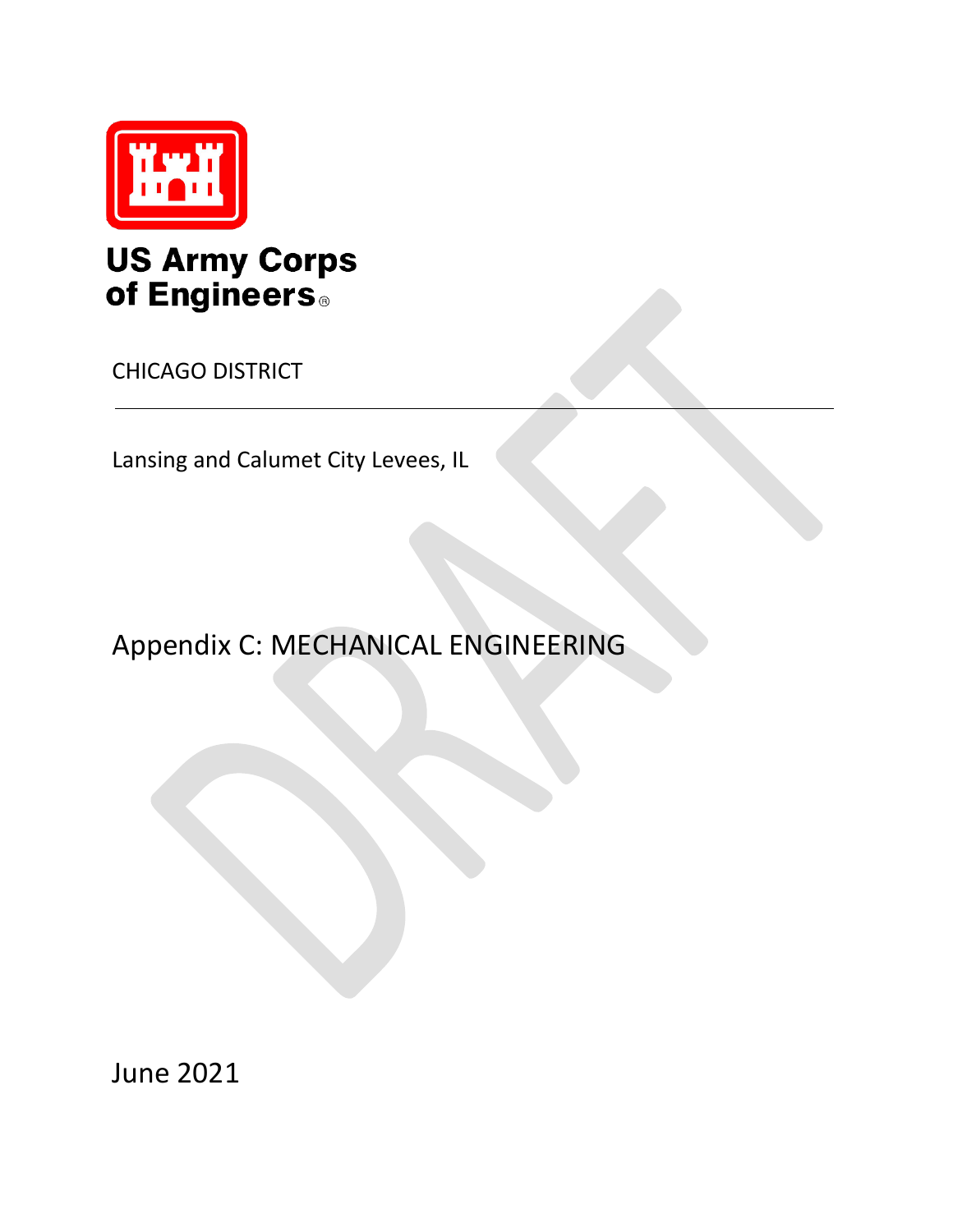

# **US Army Corps** of Engineers<sup>®</sup>

CHICAGO DISTRICT

Lansing and Calumet City Levees, IL

Appendix C: MECHANICAL ENGINEERING

June 2021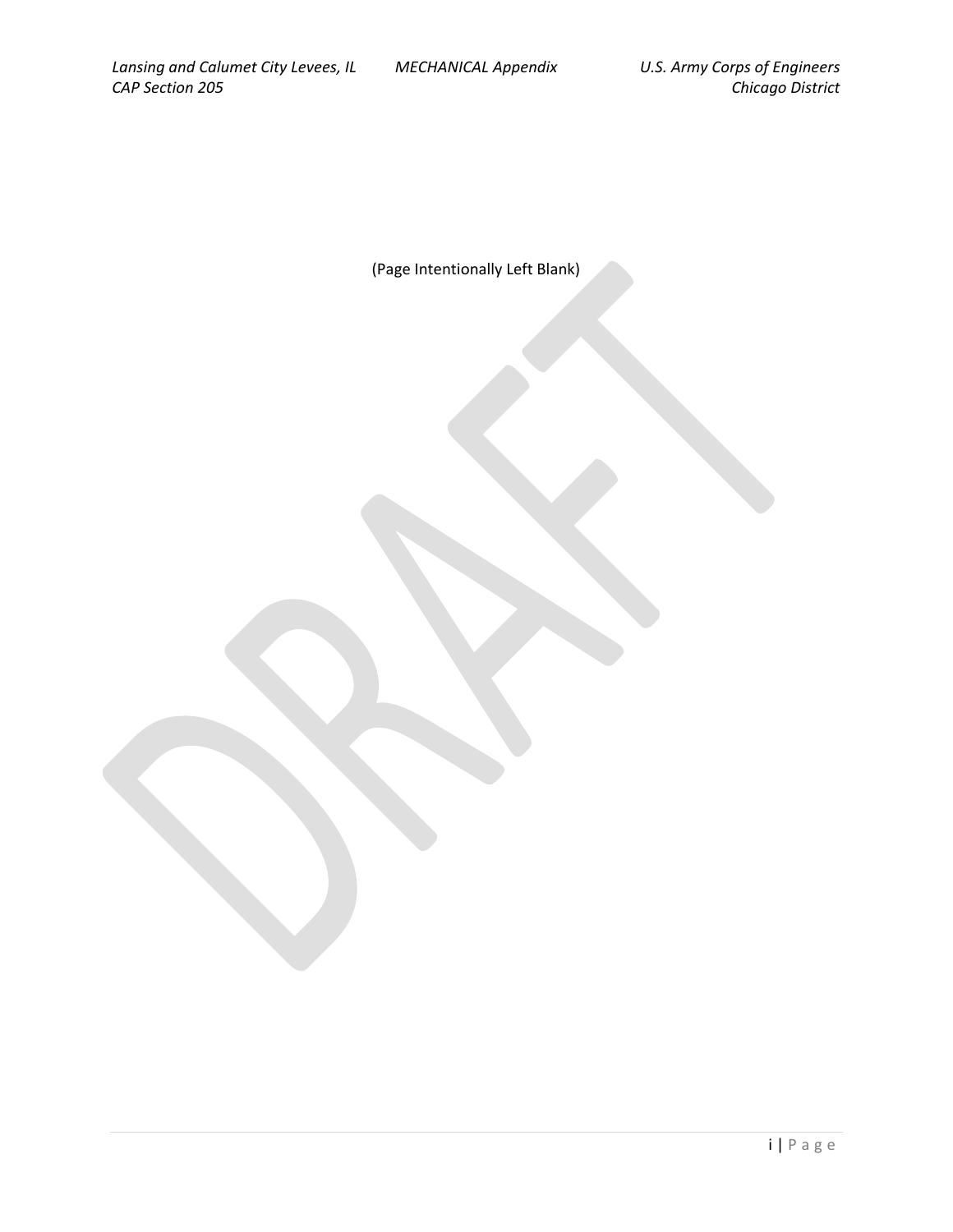(Page Intentionally Left Blank)

i | P a g e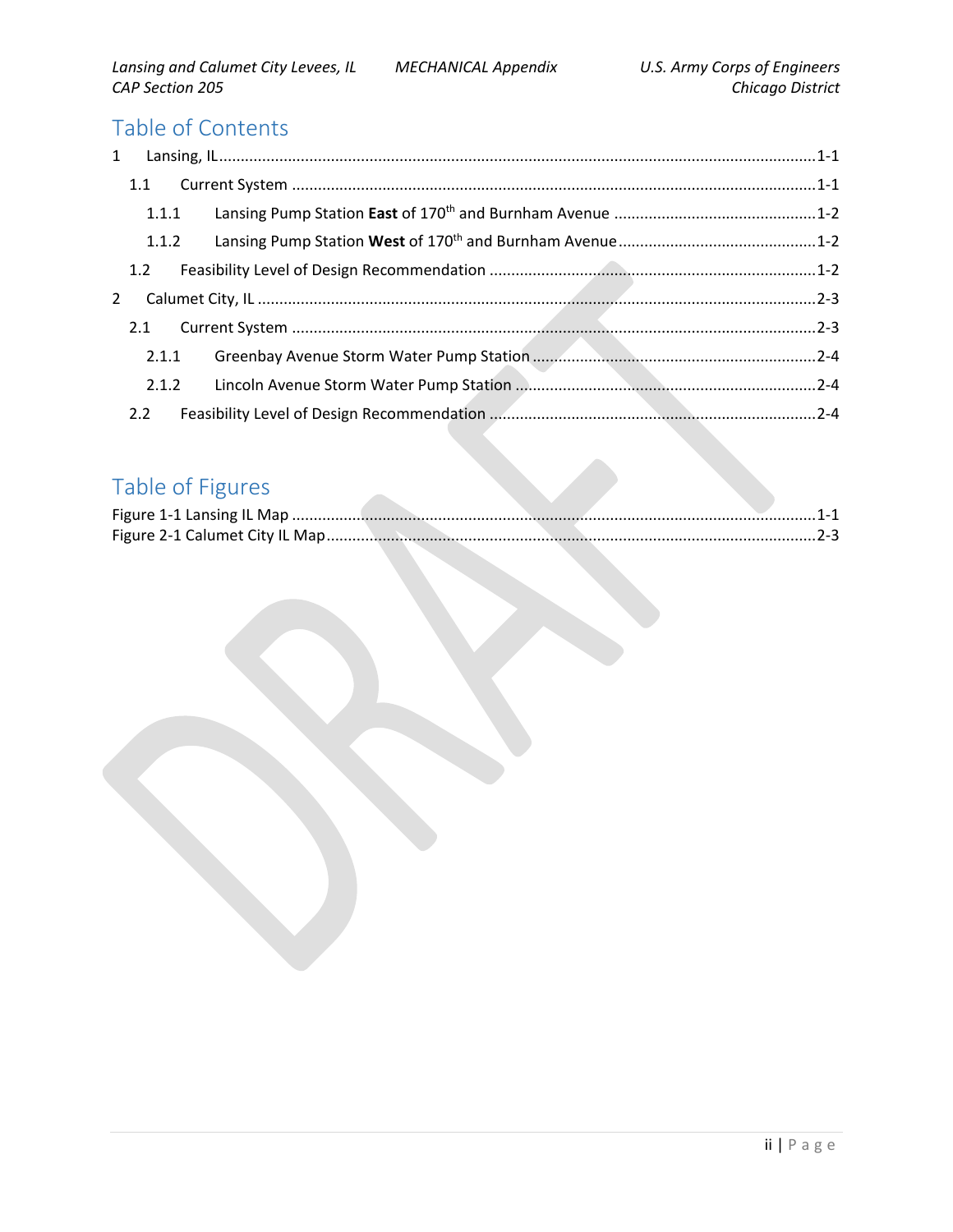## Table of Contents

| 1           |               |       |  |
|-------------|---------------|-------|--|
|             | 1.1           |       |  |
|             |               | 1.1.1 |  |
|             |               |       |  |
|             | 1.2           |       |  |
| $2^{\circ}$ |               |       |  |
|             | 2.1           |       |  |
|             | 2.1.1         |       |  |
|             | 2.1.2         |       |  |
|             | $2.2^{\circ}$ |       |  |

# Table of Figures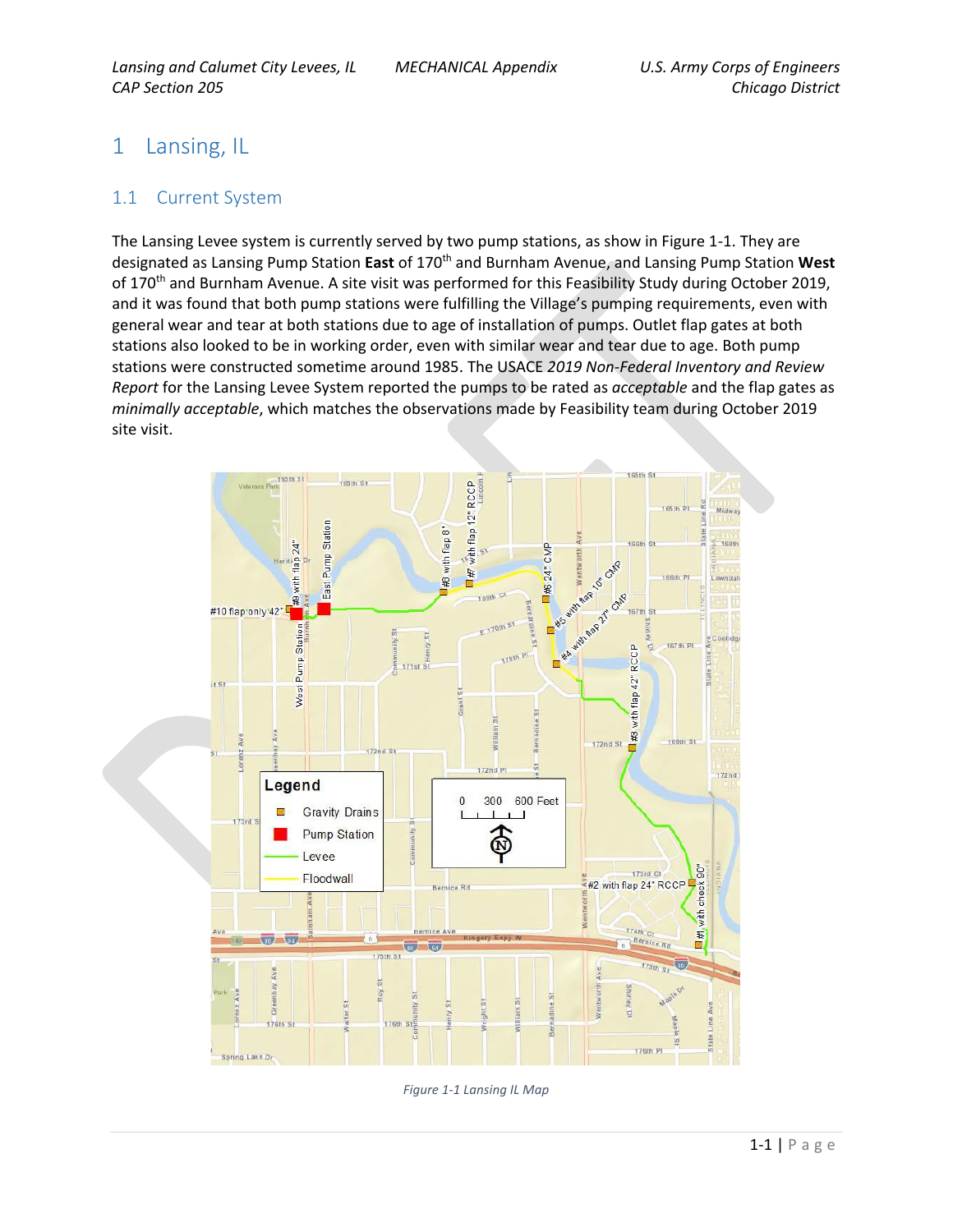## <span id="page-3-0"></span>1 Lansing, IL

## <span id="page-3-1"></span>1.1 Current System

The Lansing Levee system is currently served by two pump stations, as show in Figure 1-1. They are designated as Lansing Pump Station **East** of 170th and Burnham Avenue, and Lansing Pump Station **West**  of 170<sup>th</sup> and Burnham Avenue. A site visit was performed for this Feasibility Study during October 2019, and it was found that both pump stations were fulfilling the Village's pumping requirements, even with general wear and tear at both stations due to age of installation of pumps. Outlet flap gates at both stations also looked to be in working order, even with similar wear and tear due to age. Both pump stations were constructed sometime around 1985. The USACE *2019 Non-Federal Inventory and Review Report* for the Lansing Levee System reported the pumps to be rated as *acceptable* and the flap gates as *minimally acceptable*, which matches the observations made by Feasibility team during October 2019 site visit.



<span id="page-3-2"></span>*Figure 1-1 Lansing IL Map*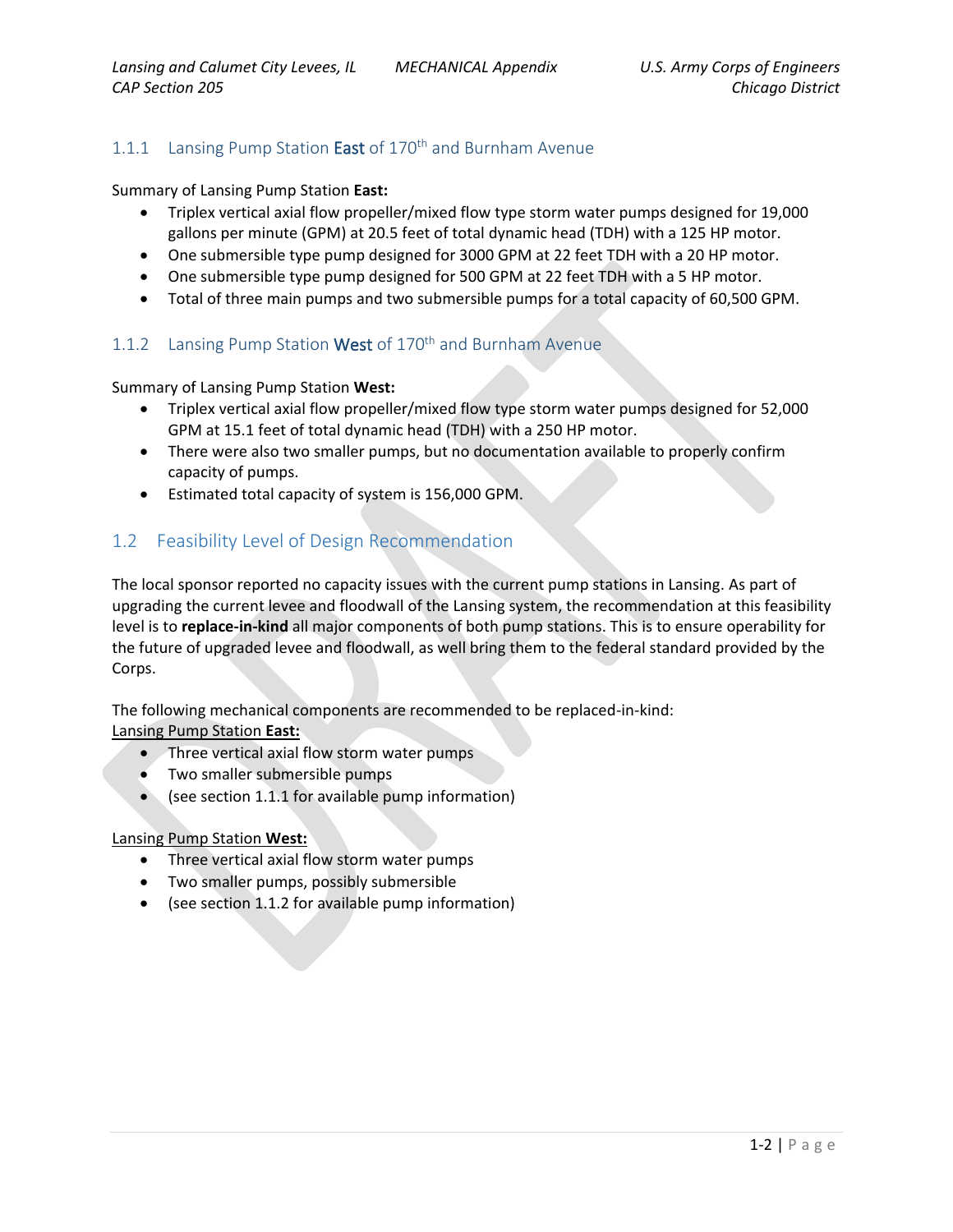### <span id="page-4-0"></span>1.1.1 Lansing Pump Station East of 170<sup>th</sup> and Burnham Avenue

Summary of Lansing Pump Station **East:** 

- Triplex vertical axial flow propeller/mixed flow type storm water pumps designed for 19,000 gallons per minute (GPM) at 20.5 feet of total dynamic head (TDH) with a 125 HP motor.
- One submersible type pump designed for 3000 GPM at 22 feet TDH with a 20 HP motor.
- One submersible type pump designed for 500 GPM at 22 feet TDH with a 5 HP motor.
- Total of three main pumps and two submersible pumps for a total capacity of 60,500 GPM.

#### <span id="page-4-1"></span>1.1.2 Lansing Pump Station West of  $170<sup>th</sup>$  and Burnham Avenue

Summary of Lansing Pump Station **West:** 

- Triplex vertical axial flow propeller/mixed flow type storm water pumps designed for 52,000 GPM at 15.1 feet of total dynamic head (TDH) with a 250 HP motor.
- There were also two smaller pumps, but no documentation available to properly confirm capacity of pumps.
- Estimated total capacity of system is 156,000 GPM.

## <span id="page-4-2"></span>1.2 Feasibility Level of Design Recommendation

The local sponsor reported no capacity issues with the current pump stations in Lansing. As part of upgrading the current levee and floodwall of the Lansing system, the recommendation at this feasibility level is to **replace-in-kind** all major components of both pump stations. This is to ensure operability for the future of upgraded levee and floodwall, as well bring them to the federal standard provided by the Corps.

The following mechanical components are recommended to be replaced-in-kind: Lansing Pump Station **East:**

- Three vertical axial flow storm water pumps
- Two smaller submersible pumps
- (see section 1.1.1 for available pump information)

#### Lansing Pump Station **West:**

- Three vertical axial flow storm water pumps
- Two smaller pumps, possibly submersible
- (see section 1.1.2 for available pump information)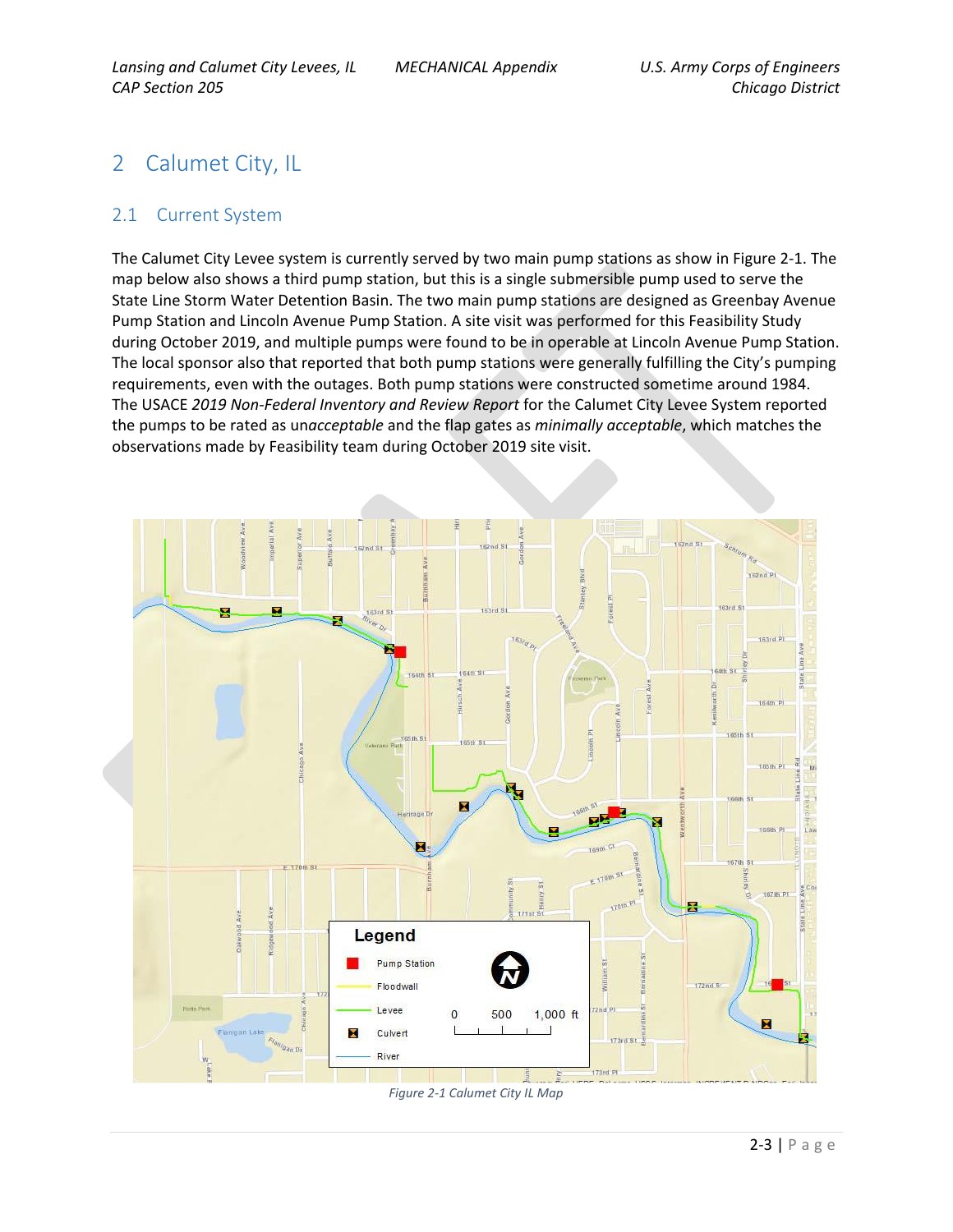# <span id="page-5-0"></span>2 Calumet City, IL

## <span id="page-5-1"></span>2.1 Current System

The Calumet City Levee system is currently served by two main pump stations as show in Figure 2-1. The map below also shows a third pump station, but this is a single submersible pump used to serve the State Line Storm Water Detention Basin. The two main pump stations are designed as Greenbay Avenue Pump Station and Lincoln Avenue Pump Station. A site visit was performed for this Feasibility Study during October 2019, and multiple pumps were found to be in operable at Lincoln Avenue Pump Station. The local sponsor also that reported that both pump stations were generally fulfilling the City's pumping requirements, even with the outages. Both pump stations were constructed sometime around 1984. The USACE *2019 Non-Federal Inventory and Review Report* for the Calumet City Levee System reported the pumps to be rated as un*acceptable* and the flap gates as *minimally acceptable*, which matches the observations made by Feasibility team during October 2019 site visit.

<span id="page-5-2"></span>